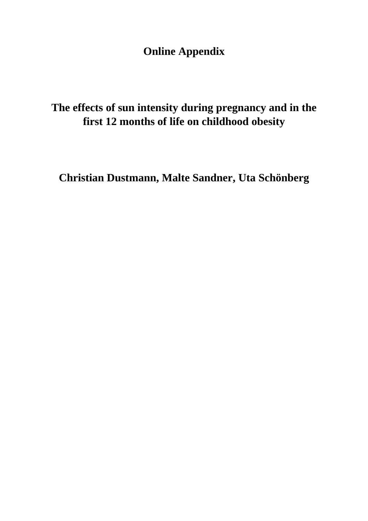**Online Appendix**

**The effects of sun intensity during pregnancy and in the first 12 months of life on childhood obesity**

**Christian Dustmann, Malte Sandner, Uta Schönberg**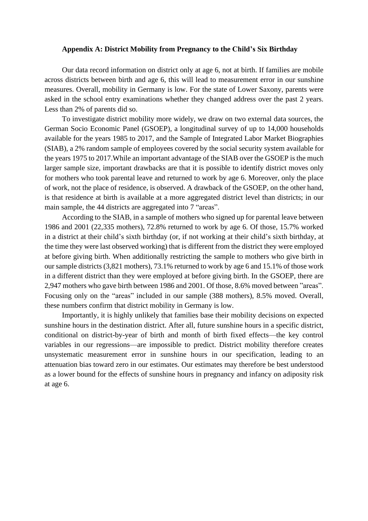## **Appendix A: District Mobility from Pregnancy to the Child's Six Birthday**

Our data record information on district only at age 6, not at birth. If families are mobile across districts between birth and age 6, this will lead to measurement error in our sunshine measures. Overall, mobility in Germany is low. For the state of Lower Saxony, parents were asked in the school entry examinations whether they changed address over the past 2 years. Less than 2% of parents did so.

To investigate district mobility more widely, we draw on two external data sources, the German Socio Economic Panel (GSOEP), a longitudinal survey of up to 14,000 households available for the years 1985 to 2017, and the Sample of Integrated Labor Market Biographies (SIAB), a 2% random sample of employees covered by the social security system available for the years 1975 to 2017.While an important advantage of the SIAB over the GSOEP is the much larger sample size, important drawbacks are that it is possible to identify district moves only for mothers who took parental leave and returned to work by age 6. Moreover, only the place of work, not the place of residence, is observed. A drawback of the GSOEP, on the other hand, is that residence at birth is available at a more aggregated district level than districts; in our main sample, the 44 districts are aggregated into 7 "areas".

According to the SIAB, in a sample of mothers who signed up for parental leave between 1986 and 2001 (22,335 mothers), 72.8% returned to work by age 6. Of those, 15.7% worked in a district at their child's sixth birthday (or, if not working at their child's sixth birthday, at the time they were last observed working) that is different from the district they were employed at before giving birth. When additionally restricting the sample to mothers who give birth in our sample districts (3,821 mothers), 73.1% returned to work by age 6 and 15.1% of those work in a different district than they were employed at before giving birth. In the GSOEP, there are 2,947 mothers who gave birth between 1986 and 2001. Of those, 8.6% moved between "areas". Focusing only on the "areas" included in our sample (388 mothers), 8.5% moved. Overall, these numbers confirm that district mobility in Germany is low.

Importantly, it is highly unlikely that families base their mobility decisions on expected sunshine hours in the destination district. After all, future sunshine hours in a specific district, conditional on district-by-year of birth and month of birth fixed effects—the key control variables in our regressions—are impossible to predict. District mobility therefore creates unsystematic measurement error in sunshine hours in our specification, leading to an attenuation bias toward zero in our estimates. Our estimates may therefore be best understood as a lower bound for the effects of sunshine hours in pregnancy and infancy on adiposity risk at age 6.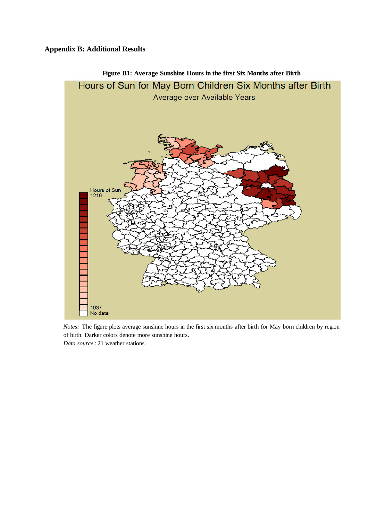## **Appendix B: Additional Results**



*Notes:* The figure plots average sunshine hours in the first six months after birth for May born children by region of birth. Darker colors denote more sunshine hours. *Data source* : 21 weather stations.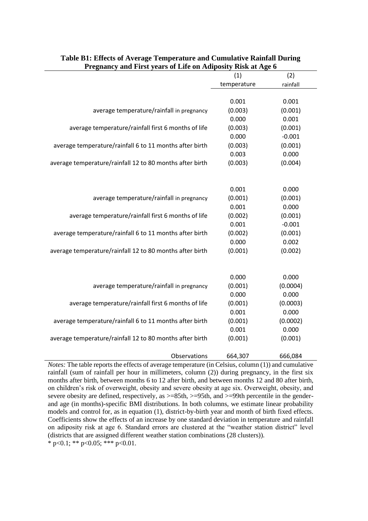| т гедиансу ани гизе усагз от ене он жирозну кизк ас жде о | (1)         | (2)      |
|-----------------------------------------------------------|-------------|----------|
|                                                           | temperature | rainfall |
|                                                           |             |          |
|                                                           | 0.001       | 0.001    |
| average temperature/rainfall in pregnancy                 | (0.003)     | (0.001)  |
|                                                           | 0.000       | 0.001    |
| average temperature/rainfall first 6 months of life       | (0.003)     | (0.001)  |
|                                                           | 0.000       | $-0.001$ |
| average temperature/rainfall 6 to 11 months after birth   | (0.003)     | (0.001)  |
|                                                           | 0.003       | 0.000    |
| average temperature/rainfall 12 to 80 months after birth  | (0.003)     | (0.004)  |
|                                                           |             |          |
|                                                           |             |          |
|                                                           | 0.001       | 0.000    |
| average temperature/rainfall in pregnancy                 | (0.001)     | (0.001)  |
|                                                           | 0.001       | 0.000    |
| average temperature/rainfall first 6 months of life       | (0.002)     | (0.001)  |
|                                                           | 0.001       | $-0.001$ |
| average temperature/rainfall 6 to 11 months after birth   | (0.002)     | (0.001)  |
|                                                           | 0.000       | 0.002    |
| average temperature/rainfall 12 to 80 months after birth  | (0.001)     | (0.002)  |
|                                                           |             |          |
|                                                           | 0.000       | 0.000    |
| average temperature/rainfall in pregnancy                 | (0.001)     | (0.0004) |
|                                                           | 0.000       | 0.000    |
| average temperature/rainfall first 6 months of life       | (0.001)     | (0.0003) |
|                                                           | 0.001       | 0.000    |
| average temperature/rainfall 6 to 11 months after birth   | (0.001)     | (0.0002) |
|                                                           | 0.001       | 0.000    |
| average temperature/rainfall 12 to 80 months after birth  | (0.001)     | (0.001)  |
|                                                           |             |          |
| Observations                                              | 664,307     | 666,084  |

| Table B1: Effects of Average Temperature and Cumulative Rainfall During |
|-------------------------------------------------------------------------|
| <b>Pregnancy and First years of Life on Adiposity Risk at Age 6</b>     |

*Notes:* The table reports the effects of average temperature (in Celsius, column (1)) and cumulative rainfall (sum of rainfall per hour in millimeters, column (2)) during pregnancy, in the first six months after birth, between months 6 to 12 after birth, and between months 12 and 80 after birth, on children's risk of overweight, obesity and severe obesity at age six. Overweight, obesity, and severe obesity are defined, respectively, as  $>=85th$ ,  $>=95th$ , and  $>=99th$  percentile in the genderand age (in months)-specific BMI distributions. In both columns, we estimate linear probability models and control for, as in equation (1), district-by-birth year and month of birth fixed effects. Coefficients show the effects of an increase by one standard deviation in temperature and rainfall on adiposity risk at age 6. Standard errors are clustered at the "weather station district" level (districts that are assigned different weather station combinations (28 clusters)).

\* p<0.1; \*\* p<0.05; \*\*\* p<0.01.